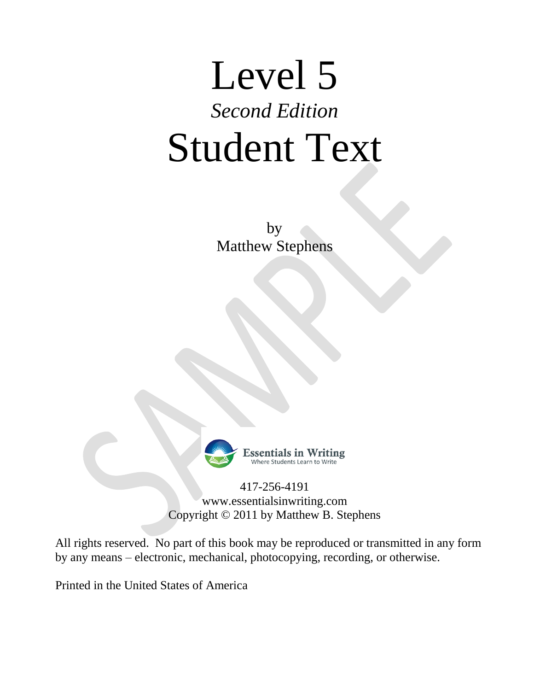# Level 5 *Second Edition* Student Text

by Matthew Stephens



Ssentials in Writing

417-256-4191 www.essentialsinwriting.com Copyright © 2011 by Matthew B. Stephens

All rights reserved. No part of this book may be reproduced or transmitted in any form by any means – electronic, mechanical, photocopying, recording, or otherwise.

Printed in the United States of America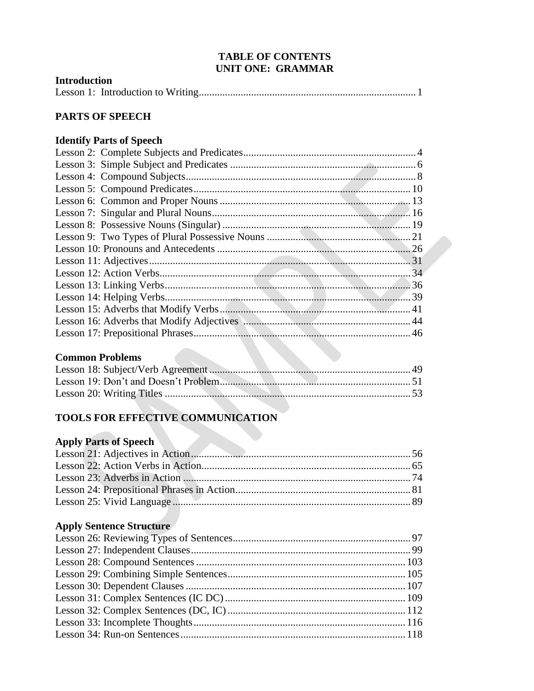#### **TABLE OF CONTENTS UNIT ONE: GRAMMAR**

| <b>Introduction</b> |  |
|---------------------|--|
|                     |  |

### PARTS OF SPEECH

## **Identify Parts of Speech**

### **Common Problems**

## TOOLS FOR EFFECTIVE COMMUNICATION

### **Apply Parts of Speech**

# **Apply Sentence Structure**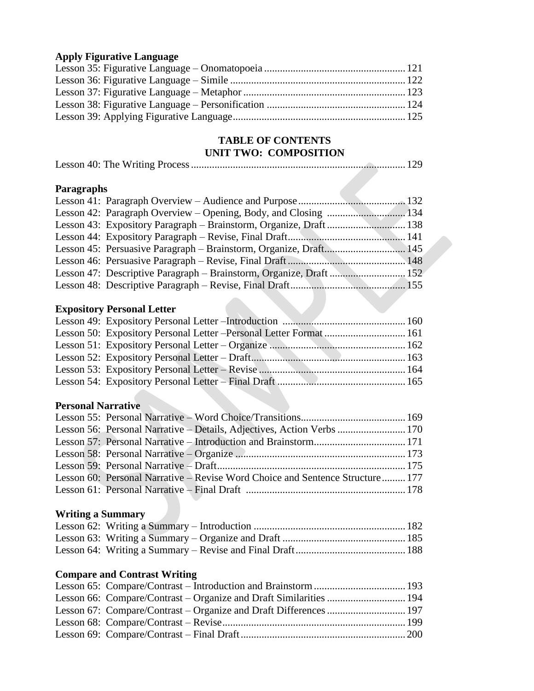### **Apply Figurative Language**

## **TABLE OF CONTENTS UNIT TWO: COMPOSITION**

|--|

### **Paragraphs**

# **Expository Personal Letter**

### **Personal Narrative**

| Lesson 56: Personal Narrative – Details, Adjectives, Action Verbs  170        |  |
|-------------------------------------------------------------------------------|--|
|                                                                               |  |
|                                                                               |  |
|                                                                               |  |
| Lesson 60: Personal Narrative – Revise Word Choice and Sentence Structure 177 |  |
|                                                                               |  |

# **Writing a Summary**

### **Compare and Contrast Writing**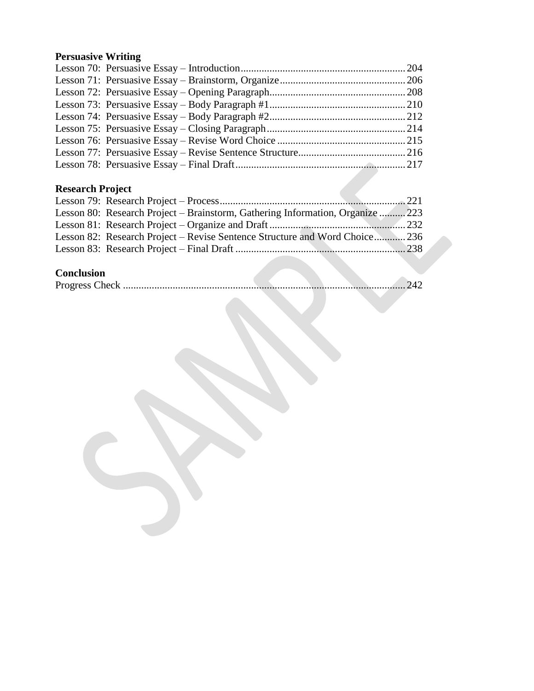# **Persuasive Writing**

# **Research Project**

| Lesson 80: Research Project – Brainstorm, Gathering Information, Organize 223 |  |  |
|-------------------------------------------------------------------------------|--|--|
|                                                                               |  |  |
| Lesson 82: Research Project – Revise Sentence Structure and Word Choice 236   |  |  |
|                                                                               |  |  |
|                                                                               |  |  |

# **Conclusion**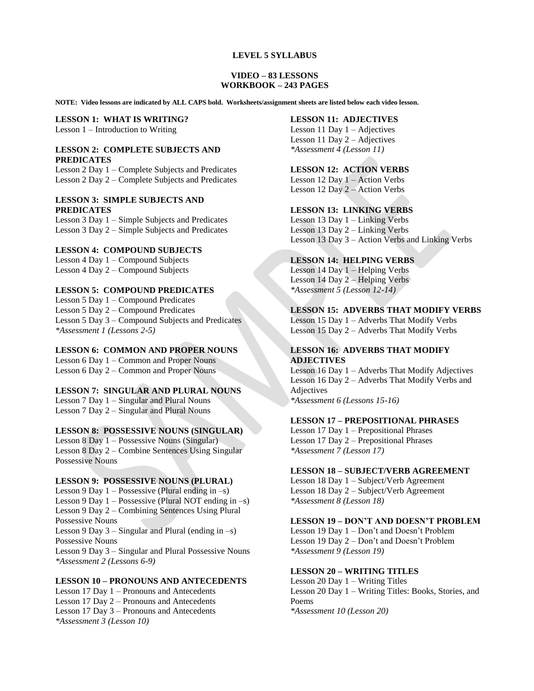#### **LEVEL 5 SYLLABUS**

#### **VIDEO – 83 LESSONS WORKBOOK – 243 PAGES**

**NOTE: Video lessons are indicated by ALL CAPS bold. Worksheets/assignment sheets are listed below each video lesson.** 

# **LESSON 1: WHAT IS WRITING?**

Lesson 1 – Introduction to Writing

#### **LESSON 2: COMPLETE SUBJECTS AND PREDICATES**

Lesson 2 Day 1 – Complete Subjects and Predicates Lesson 2 Day 2 – Complete Subjects and Predicates

### **LESSON 3: SIMPLE SUBJECTS AND PREDICATES**

Lesson 3 Day 1 – Simple Subjects and Predicates Lesson 3 Day 2 – Simple Subjects and Predicates

#### **LESSON 4: COMPOUND SUBJECTS**

Lesson 4 Day 1 – Compound Subjects Lesson 4 Day 2 – Compound Subjects

#### **LESSON 5: COMPOUND PREDICATES**

Lesson 5 Day 1 – Compound Predicates Lesson 5 Day 2 – Compound Predicates Lesson 5 Day 3 – Compound Subjects and Predicates *\*Assessment 1 (Lessons 2-5)*

#### **LESSON 6: COMMON AND PROPER NOUNS**

Lesson 6 Day 1 – Common and Proper Nouns Lesson 6 Day 2 – Common and Proper Nouns

#### **LESSON 7: SINGULAR AND PLURAL NOUNS**

Lesson 7 Day 1 – Singular and Plural Nouns Lesson 7 Day 2 – Singular and Plural Nouns

#### **LESSON 8: POSSESSIVE NOUNS (SINGULAR)**

Lesson 8 Day 1 – Possessive Nouns (Singular) Lesson 8 Day 2 – Combine Sentences Using Singular Possessive Nouns

#### **LESSON 9: POSSESSIVE NOUNS (PLURAL)**

Lesson 9 Day  $1 -$ Possessive (Plural ending in  $-s$ ) Lesson 9 Day  $1 -$  Possessive (Plural NOT ending in  $-s$ ) Lesson 9 Day 2 – Combining Sentences Using Plural Possessive Nouns Lesson 9 Day 3 – Singular and Plural (ending in –s) Possessive Nouns Lesson 9 Day 3 – Singular and Plural Possessive Nouns *\*Assessment 2 (Lessons 6-9)*

#### **LESSON 10 – PRONOUNS AND ANTECEDENTS**

Lesson 17 Day 1 – Pronouns and Antecedents Lesson 17 Day 2 – Pronouns and Antecedents Lesson 17 Day 3 – Pronouns and Antecedents *\*Assessment 3 (Lesson 10)*

#### **LESSON 11: ADJECTIVES**

Lesson 11 Day 1 – Adjectives Lesson 11 Day 2 – Adjectives *\*Assessment 4 (Lesson 11)*

#### **LESSON 12: ACTION VERBS**

Lesson 12 Day 1 – Action Verbs Lesson 12 Day 2 – Action Verbs

#### **LESSON 13: LINKING VERBS**

Lesson 13 Day 1 – Linking Verbs Lesson 13 Day 2 – Linking Verbs Lesson 13 Day 3 – Action Verbs and Linking Verbs

#### **LESSON 14: HELPING VERBS**

Lesson 14 Day 1 – Helping Verbs Lesson 14 Day 2 – Helping Verbs *\*Assessment 5 (Lesson 12-14)*

#### **LESSON 15: ADVERBS THAT MODIFY VERBS**

Lesson 15 Day 1 – Adverbs That Modify Verbs Lesson 15 Day 2 – Adverbs That Modify Verbs

#### **LESSON 16: ADVERBS THAT MODIFY ADJECTIVES**

Lesson 16 Day 1 – Adverbs That Modify Adjectives Lesson 16 Day 2 – Adverbs That Modify Verbs and Adjectives *\*Assessment 6 (Lessons 15-16)*

#### **LESSON 17 – PREPOSITIONAL PHRASES**

Lesson 17 Day 1 – Prepositional Phrases Lesson 17 Day 2 – Prepositional Phrases *\*Assessment 7 (Lesson 17)*

#### **LESSON 18 – SUBJECT/VERB AGREEMENT**

Lesson 18 Day 1 – Subject/Verb Agreement Lesson 18 Day 2 – Subject/Verb Agreement *\*Assessment 8 (Lesson 18)*

#### **LESSON 19 – DON'T AND DOESN'T PROBLEM**

Lesson 19 Day 1 – Don't and Doesn't Problem Lesson 19 Day 2 – Don't and Doesn't Problem *\*Assessment 9 (Lesson 19)*

#### **LESSON 20 – WRITING TITLES**

Lesson 20 Day 1 – Writing Titles Lesson 20 Day 1 – Writing Titles: Books, Stories, and Poems *\*Assessment 10 (Lesson 20)*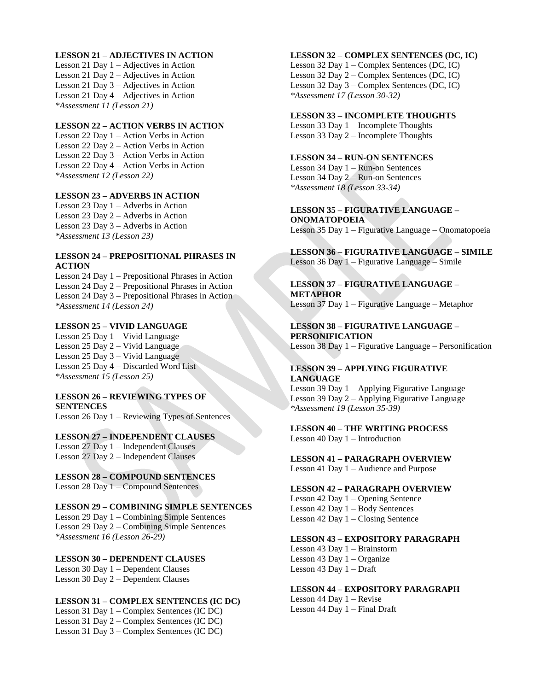#### **LESSON 21 – ADJECTIVES IN ACTION**

Lesson 21 Day 1 – Adjectives in Action Lesson 21 Day 2 – Adjectives in Action Lesson 21 Day 3 – Adjectives in Action Lesson 21 Day 4 – Adjectives in Action *\*Assessment 11 (Lesson 21)*

#### **LESSON 22 – ACTION VERBS IN ACTION**

Lesson 22 Day 1 – Action Verbs in Action Lesson 22 Day 2 – Action Verbs in Action Lesson 22 Day 3 – Action Verbs in Action Lesson 22 Day 4 – Action Verbs in Action *\*Assessment 12 (Lesson 22)*

#### **LESSON 23 – ADVERBS IN ACTION**

Lesson 23 Day 1 – Adverbs in Action Lesson 23 Day 2 – Adverbs in Action Lesson 23 Day 3 – Adverbs in Action *\*Assessment 13 (Lesson 23)*

#### **LESSON 24 – PREPOSITIONAL PHRASES IN ACTION**

Lesson 24 Day 1 – Prepositional Phrases in Action Lesson 24 Day 2 – Prepositional Phrases in Action Lesson 24 Day 3 – Prepositional Phrases in Action *\*Assessment 14 (Lesson 24)*

#### **LESSON 25 – VIVID LANGUAGE**

Lesson 25 Day 1 – Vivid Language Lesson 25 Day 2 – Vivid Language Lesson 25 Day 3 – Vivid Language Lesson 25 Day 4 – Discarded Word List *\*Assessment 15 (Lesson 25)*

#### **LESSON 26 – REVIEWING TYPES OF SENTENCES**

Lesson 26 Day 1 – Reviewing Types of Sentences

**LESSON 27 – INDEPENDENT CLAUSES** Lesson 27 Day 1 – Independent Clauses Lesson 27 Day 2 – Independent Clauses

**LESSON 28 – COMPOUND SENTENCES** Lesson 28 Day 1 – Compound Sentences

#### **LESSON 29 – COMBINING SIMPLE SENTENCES**

Lesson 29 Day 1 – Combining Simple Sentences Lesson 29 Day 2 – Combining Simple Sentences *\*Assessment 16 (Lesson 26-29)*

#### **LESSON 30 – DEPENDENT CLAUSES**

Lesson 30 Day 1 – Dependent Clauses Lesson 30 Day 2 – Dependent Clauses

#### **LESSON 31 – COMPLEX SENTENCES (IC DC)**

Lesson 31 Day 1 – Complex Sentences (IC DC) Lesson 31 Day 2 – Complex Sentences (IC DC) Lesson 31 Day 3 – Complex Sentences (IC DC)

#### **LESSON 32 – COMPLEX SENTENCES (DC, IC)**

Lesson 32 Day 1 – Complex Sentences (DC, IC) Lesson 32 Day 2 – Complex Sentences (DC, IC) Lesson 32 Day 3 – Complex Sentences (DC, IC) *\*Assessment 17 (Lesson 30-32)*

#### **LESSON 33 – INCOMPLETE THOUGHTS**

Lesson 33 Day 1 – Incomplete Thoughts Lesson 33 Day 2 – Incomplete Thoughts

#### **LESSON 34 – RUN-ON SENTENCES**

Lesson 34 Day 1 – Run-on Sentences Lesson 34 Day 2 – Run-on Sentences *\*Assessment 18 (Lesson 33-34)*

**LESSON 35 – FIGURATIVE LANGUAGE – ONOMATOPOEIA** Lesson 35 Day 1 – Figurative Language – Onomatopoeia

**LESSON 36 – FIGURATIVE LANGUAGE – SIMILE** Lesson 36 Day 1 – Figurative Language – Simile

**LESSON 37 – FIGURATIVE LANGUAGE – METAPHOR** Lesson 37 Day 1 – Figurative Language – Metaphor

**LESSON 38 – FIGURATIVE LANGUAGE – PERSONIFICATION** Lesson 38 Day 1 – Figurative Language – Personification

#### **LESSON 39 – APPLYING FIGURATIVE LANGUAGE**

Lesson 39 Day 1 – Applying Figurative Language Lesson 39 Day 2 – Applying Figurative Language *\*Assessment 19 (Lesson 35-39)*

**LESSON 40 – THE WRITING PROCESS** Lesson 40 Day 1 – Introduction

**LESSON 41 – PARAGRAPH OVERVIEW**

Lesson 41 Day 1 – Audience and Purpose

#### **LESSON 42 – PARAGRAPH OVERVIEW**

Lesson 42 Day 1 – Opening Sentence Lesson 42 Day 1 – Body Sentences Lesson 42 Day 1 – Closing Sentence

#### **LESSON 43 – EXPOSITORY PARAGRAPH**

Lesson 43 Day 1 – Brainstorm Lesson 43 Day 1 – Organize Lesson 43 Day 1 – Draft

#### **LESSON 44 – EXPOSITORY PARAGRAPH**

Lesson 44 Day 1 – Revise Lesson 44 Day 1 – Final Draft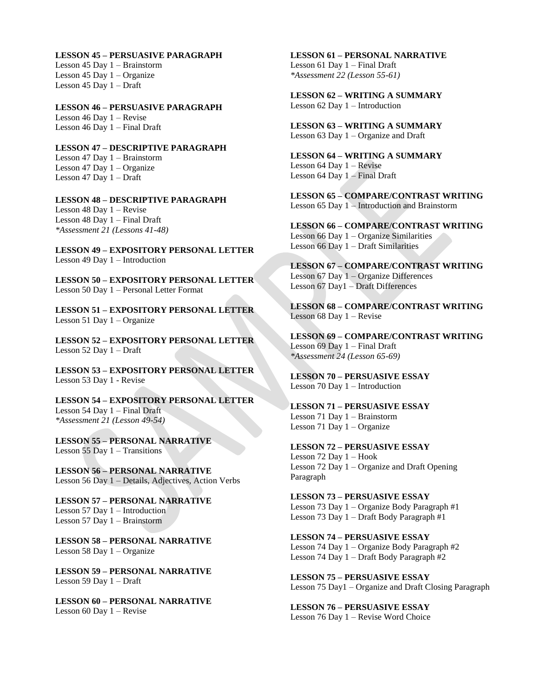**LESSON 45 – PERSUASIVE PARAGRAPH** Lesson 45 Day 1 – Brainstorm Lesson 45 Day 1 – Organize Lesson 45 Day 1 – Draft

**LESSON 46 – PERSUASIVE PARAGRAPH** Lesson 46 Day 1 – Revise Lesson 46 Day 1 – Final Draft

**LESSON 47 – DESCRIPTIVE PARAGRAPH** Lesson 47 Day 1 – Brainstorm Lesson 47 Day 1 – Organize Lesson 47 Day 1 – Draft

**LESSON 48 – DESCRIPTIVE PARAGRAPH** Lesson 48 Day 1 – Revise Lesson 48 Day 1 – Final Draft *\*Assessment 21 (Lessons 41-48)*

**LESSON 49 – EXPOSITORY PERSONAL LETTER** Lesson 49 Day 1 – Introduction

**LESSON 50 – EXPOSITORY PERSONAL LETTER** Lesson 50 Day 1 – Personal Letter Format

**LESSON 51 – EXPOSITORY PERSONAL LETTER** Lesson 51 Day 1 – Organize

**LESSON 52 – EXPOSITORY PERSONAL LETTER** Lesson 52 Day 1 – Draft

**LESSON 53 – EXPOSITORY PERSONAL LETTER** Lesson 53 Day 1 - Revise

**LESSON 54 – EXPOSITORY PERSONAL LETTER** Lesson 54 Day 1 – Final Draft *\*Assessment 21 (Lesson 49-54)*

**LESSON 55 – PERSONAL NARRATIVE** Lesson 55 Day 1 – Transitions

**LESSON 56 – PERSONAL NARRATIVE** Lesson 56 Day 1 – Details, Adjectives, Action Verbs

**LESSON 57 – PERSONAL NARRATIVE** Lesson 57 Day 1 – Introduction Lesson 57 Day 1 – Brainstorm

**LESSON 58 – PERSONAL NARRATIVE** Lesson 58 Day 1 – Organize

**LESSON 59 – PERSONAL NARRATIVE** Lesson 59 Day 1 – Draft

**LESSON 60 – PERSONAL NARRATIVE** Lesson 60 Day 1 – Revise

**LESSON 61 – PERSONAL NARRATIVE** Lesson 61 Day 1 – Final Draft *\*Assessment 22 (Lesson 55-61)*

**LESSON 62 – WRITING A SUMMARY** Lesson 62 Day 1 – Introduction

**LESSON 63 – WRITING A SUMMARY** Lesson 63 Day 1 – Organize and Draft

**LESSON 64 – WRITING A SUMMARY**  Lesson 64 Day 1 – Revise Lesson 64 Day 1 – Final Draft

**LESSON 65 – COMPARE/CONTRAST WRITING** Lesson 65 Day 1 – Introduction and Brainstorm

**LESSON 66 – COMPARE/CONTRAST WRITING** Lesson 66 Day 1 – Organize Similarities Lesson 66 Day 1 – Draft Similarities

**LESSON 67 – COMPARE/CONTRAST WRITING** Lesson 67 Day 1 – Organize Differences Lesson 67 Day1 – Draft Differences

**LESSON 68 – COMPARE/CONTRAST WRITING** Lesson 68 Day 1 – Revise

**LESSON 69 – COMPARE/CONTRAST WRITING** Lesson 69 Day 1 – Final Draft *\*Assessment 24 (Lesson 65-69)*

**LESSON 70 – PERSUASIVE ESSAY** Lesson 70 Day 1 – Introduction

**LESSON 71 – PERSUASIVE ESSAY** Lesson 71 Day 1 – Brainstorm Lesson 71 Day 1 – Organize

**LESSON 72 – PERSUASIVE ESSAY** Lesson 72 Day 1 – Hook Lesson 72 Day 1 – Organize and Draft Opening Paragraph

**LESSON 73 – PERSUASIVE ESSAY** Lesson 73 Day 1 – Organize Body Paragraph #1 Lesson 73 Day 1 – Draft Body Paragraph #1

**LESSON 74 – PERSUASIVE ESSAY** Lesson 74 Day 1 – Organize Body Paragraph #2 Lesson 74 Day 1 – Draft Body Paragraph #2

**LESSON 75 – PERSUASIVE ESSAY** Lesson 75 Day1 – Organize and Draft Closing Paragraph

**LESSON 76 – PERSUASIVE ESSAY** Lesson 76 Day 1 – Revise Word Choice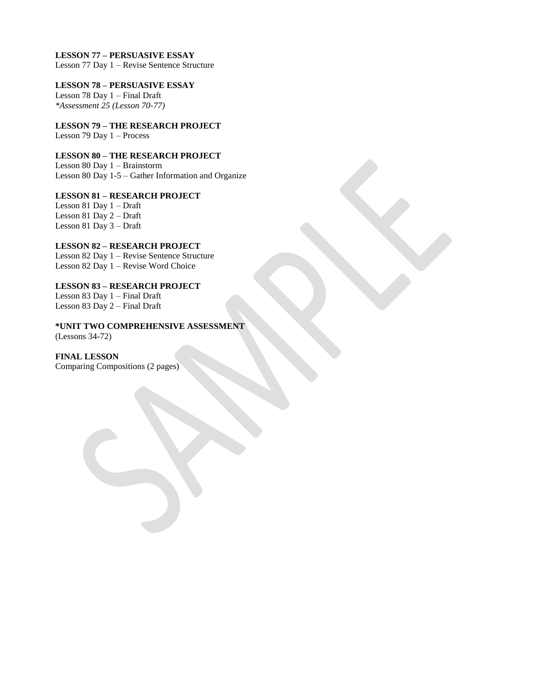#### **LESSON 77 – PERSUASIVE ESSAY**

Lesson 77 Day 1 – Revise Sentence Structure

#### **LESSON 78 – PERSUASIVE ESSAY**

Lesson 78 Day 1 – Final Draft *\*Assessment 25 (Lesson 70-77)*

**LESSON 79 – THE RESEARCH PROJECT** Lesson 79 Day 1 – Process

#### **LESSON 80 – THE RESEARCH PROJECT** Lesson 80 Day 1 – Brainstorm

Lesson 80 Day 1-5 – Gather Information and Organize

#### **LESSON 81 – RESEARCH PROJECT** Lesson 81 Day 1 – Draft Lesson 81 Day 2 – Draft Lesson 81 Day 3 – Draft

**LESSON 82 – RESEARCH PROJECT** Lesson 82 Day 1 – Revise Sentence Structure Lesson 82 Day 1 – Revise Word Choice

#### **LESSON 83 – RESEARCH PROJECT** Lesson 83 Day 1 – Final Draft Lesson 83 Day 2 – Final Draft

**\*UNIT TWO COMPREHENSIVE ASSESSMENT** (Lessons 34-72)

**FINAL LESSON** Comparing Compositions (2 pages)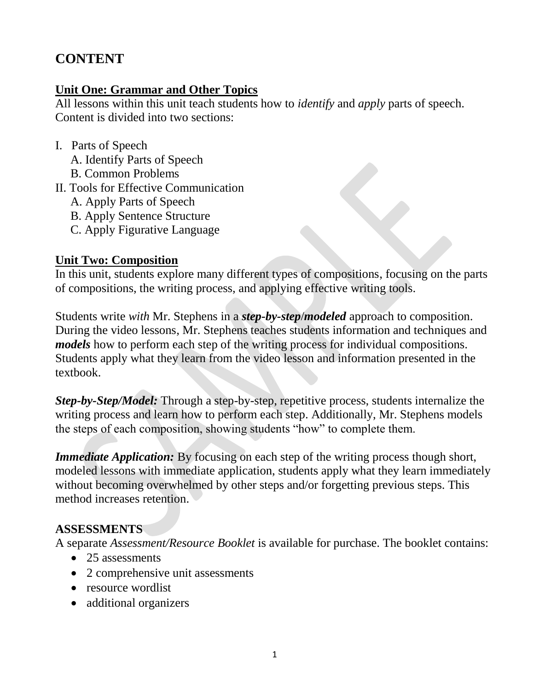# **CONTENT**

# **Unit One: Grammar and Other Topics**

All lessons within this unit teach students how to *identify* and *apply* parts of speech. Content is divided into two sections:

- I. Parts of Speech A. Identify Parts of Speech B. Common Problems
- II. Tools for Effective Communication
	- A. Apply Parts of Speech
	- B. Apply Sentence Structure
	- C. Apply Figurative Language

# **Unit Two: Composition**

In this unit, students explore many different types of compositions, focusing on the parts of compositions, the writing process, and applying effective writing tools.

Students write *with* Mr. Stephens in a *step-by-step*/*modeled* approach to composition. During the video lessons, Mr. Stephens teaches students information and techniques and *models* how to perform each step of the writing process for individual compositions. Students apply what they learn from the video lesson and information presented in the textbook.

*Step-by-Step/Model:* Through a step-by-step, repetitive process, students internalize the writing process and learn how to perform each step. Additionally, Mr. Stephens models the steps of each composition, showing students "how" to complete them.

*Immediate Application:* By focusing on each step of the writing process though short, modeled lessons with immediate application, students apply what they learn immediately without becoming overwhelmed by other steps and/or forgetting previous steps. This method increases retention.

# **ASSESSMENTS**

A separate *Assessment/Resource Booklet* is available for purchase. The booklet contains:

- 25 assessments
- 2 comprehensive unit assessments
- resource wordlist
- additional organizers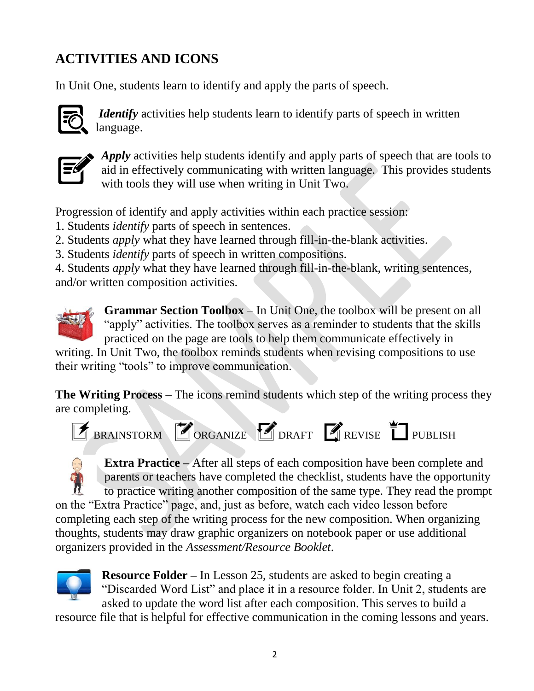# **ACTIVITIES AND ICONS**

In Unit One, students learn to identify and apply the parts of speech.



*Identify* activities help students learn to identify parts of speech in written  $\overline{Q}$  language.



*Apply* activities help students identify and apply parts of speech that are tools to aid in effectively communicating with written language. This provides students with tools they will use when writing in Unit Two.

Progression of identify and apply activities within each practice session:

- 1. Students *identify* parts of speech in sentences.
- 2. Students *apply* what they have learned through fill-in-the-blank activities.
- 3. Students *identify* parts of speech in written compositions.

4. Students *apply* what they have learned through fill-in-the-blank, writing sentences, and/or written composition activities.



**Grammar Section Toolbox** – In Unit One, the toolbox will be present on all "apply" activities. The toolbox serves as a reminder to students that the skills practiced on the page are tools to help them communicate effectively in

writing. In Unit Two, the toolbox reminds students when revising compositions to use their writing "tools" to improve communication.

**The Writing Process** – The icons remind students which step of the writing process they are completing.



**Extra Practice –** After all steps of each composition have been complete and parents or teachers have completed the checklist, students have the opportunity to practice writing another composition of the same type. They read the prompt on the "Extra Practice" page, and, just as before, watch each video lesson before completing each step of the writing process for the new composition. When organizing thoughts, students may draw graphic organizers on notebook paper or use additional organizers provided in the *Assessment/Resource Booklet*.



**Resource Folder –** In Lesson 25, students are asked to begin creating a "Discarded Word List" and place it in a resource folder. In Unit 2, students are asked to update the word list after each composition. This serves to build a

resource file that is helpful for effective communication in the coming lessons and years.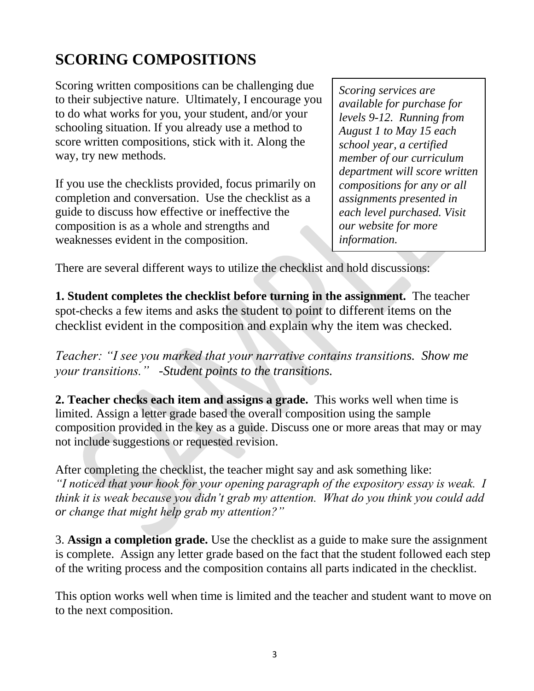# **SCORING COMPOSITIONS**

Scoring written compositions can be challenging due to their subjective nature. Ultimately, I encourage you to do what works for you, your student, and/or your schooling situation. If you already use a method to score written compositions, stick with it. Along the way, try new methods.

If you use the checklists provided, focus primarily on completion and conversation. Use the checklist as a guide to discuss how effective or ineffective the composition is as a whole and strengths and weaknesses evident in the composition.

*Scoring services are available for purchase for levels 9-12. Running from August 1 to May 15 each school year, a certified member of our curriculum department will score written compositions for any or all assignments presented in each level purchased. Visit our website for more information.*

There are several different ways to utilize the checklist and hold discussions:

**1. Student completes the checklist before turning in the assignment.** The teacher spot-checks a few items and asks the student to point to different items on the checklist evident in the composition and explain why the item was checked.

*Teacher: "I see you marked that your narrative contains transitions. Show me your transitions." -Student points to the transitions.*

**2. Teacher checks each item and assigns a grade.** This works well when time is limited. Assign a letter grade based the overall composition using the sample composition provided in the key as a guide. Discuss one or more areas that may or may not include suggestions or requested revision.

After completing the checklist, the teacher might say and ask something like: *"I noticed that your hook for your opening paragraph of the expository essay is weak. I think it is weak because you didn't grab my attention. What do you think you could add or change that might help grab my attention?"*

3. **Assign a completion grade.** Use the checklist as a guide to make sure the assignment is complete. Assign any letter grade based on the fact that the student followed each step of the writing process and the composition contains all parts indicated in the checklist.

This option works well when time is limited and the teacher and student want to move on to the next composition.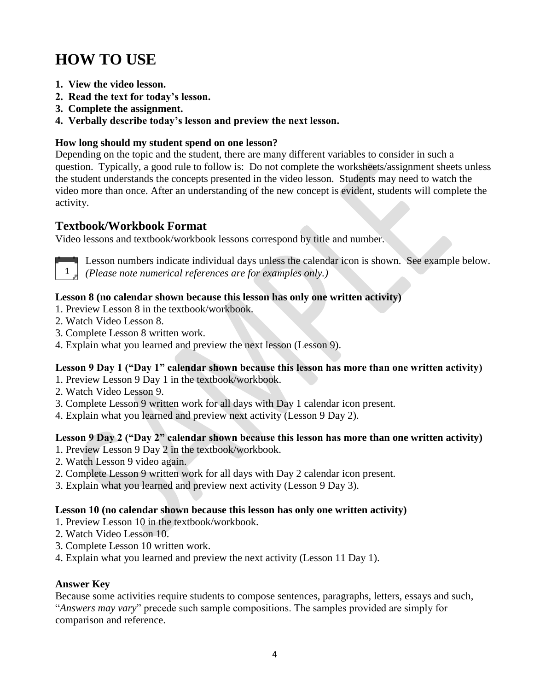# **HOW TO USE**

- **1. View the video lesson.**
- **2. Read the text for today's lesson.**
- **3. Complete the assignment.**
- **4. Verbally describe today's lesson and preview the next lesson.**

### **How long should my student spend on one lesson?**

Depending on the topic and the student, there are many different variables to consider in such a question. Typically, a good rule to follow is: Do not complete the worksheets/assignment sheets unless the student understands the concepts presented in the video lesson. Students may need to watch the video more than once. After an understanding of the new concept is evident, students will complete the activity.

## **Textbook/Workbook Format**

Video lessons and textbook/workbook lessons correspond by title and number.



Lesson numbers indicate individual days unless the calendar icon is shown. See example below. *(Please note numerical references are for examples only.)* 1

#### **Lesson 8 (no calendar shown because this lesson has only one written activity)**

- 1. Preview Lesson 8 in the textbook/workbook.
- 2. Watch Video Lesson 8.
- 3. Complete Lesson 8 written work.
- 4. Explain what you learned and preview the next lesson (Lesson 9).

### **Lesson 9 Day 1 ("Day 1" calendar shown because this lesson has more than one written activity)**

- 1. Preview Lesson 9 Day 1 in the textbook/workbook.
- 2. Watch Video Lesson 9.
- 3. Complete Lesson 9 written work for all days with Day 1 calendar icon present.
- 4. Explain what you learned and preview next activity (Lesson 9 Day 2).

### **Lesson 9 Day 2 ("Day 2" calendar shown because this lesson has more than one written activity)**

- 1. Preview Lesson 9 Day 2 in the textbook/workbook.
- 2. Watch Lesson 9 video again.
- 2. Complete Lesson 9 written work for all days with Day 2 calendar icon present.
- 3. Explain what you learned and preview next activity (Lesson 9 Day 3).

#### **Lesson 10 (no calendar shown because this lesson has only one written activity)**

- 1. Preview Lesson 10 in the textbook/workbook.
- 2. Watch Video Lesson 10.
- 3. Complete Lesson 10 written work.
- 4. Explain what you learned and preview the next activity (Lesson 11 Day 1).

#### **Answer Key**

Because some activities require students to compose sentences, paragraphs, letters, essays and such, "*Answers may vary*" precede such sample compositions. The samples provided are simply for comparison and reference.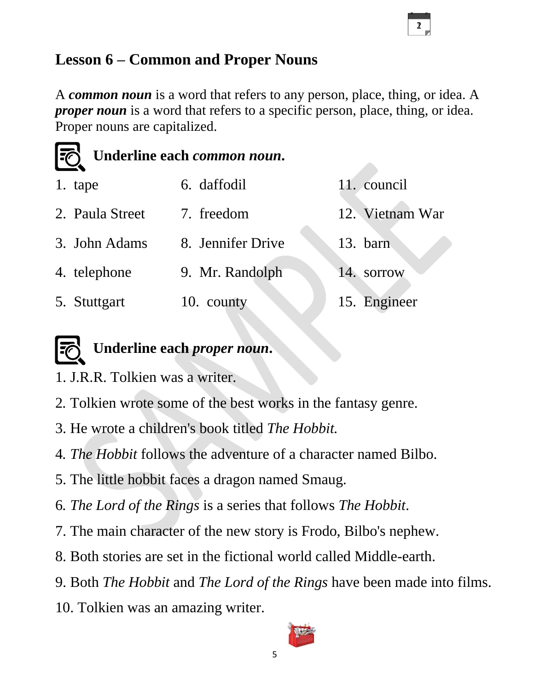# **Lesson 6 – Common and Proper Nouns**

A *common noun* is a word that refers to any person, place, thing, or idea. A *proper noun* is a word that refers to a specific person, place, thing, or idea. Proper nouns are capitalized.

12

| [⑦              | Underline each common noun. |                 |
|-----------------|-----------------------------|-----------------|
| 1. tape         | 6. daffodil                 | 11. council     |
| 2. Paula Street | 7. freedom                  | 12. Vietnam War |
| 3. John Adams   | 8. Jennifer Drive           | 13. barn        |
| 4. telephone    | 9. Mr. Randolph             | sorrow<br>14.   |
| 5. Stuttgart    | 10. county                  | 15. Engineer    |

# **Underline each** *proper noun***.**

- 1. J.R.R. Tolkien was a writer.
- 2*.* Tolkien wrote some of the best works in the fantasy genre.
- 3. He wrote a children's book titled *The Hobbit.*
- 4*. The Hobbit* follows the adventure of a character named Bilbo.
- 5. The little hobbit faces a dragon named Smaug.
- 6*. The Lord of the Rings* is a series that follows *The Hobbit*.
- 7. The main character of the new story is Frodo, Bilbo's nephew.
- 8. Both stories are set in the fictional world called Middle-earth.
- 9. Both *The Hobbit* and *The Lord of the Rings* have been made into films.
- 10. Tolkien was an amazing writer.

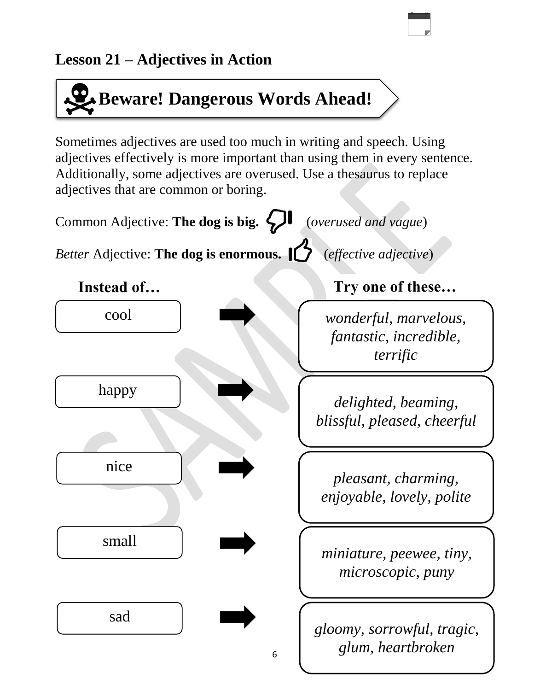# **Lesson 21 – Adjectives in Action**

# **Beware! Dangerous Words Ahead!**

Sometimes adjectives are used too much in writing and speech. Using adjectives effectively is more important than using them in every sentence. Additionally, some adjectives are overused. Use a thesaurus to replace adjectives that are common or boring.

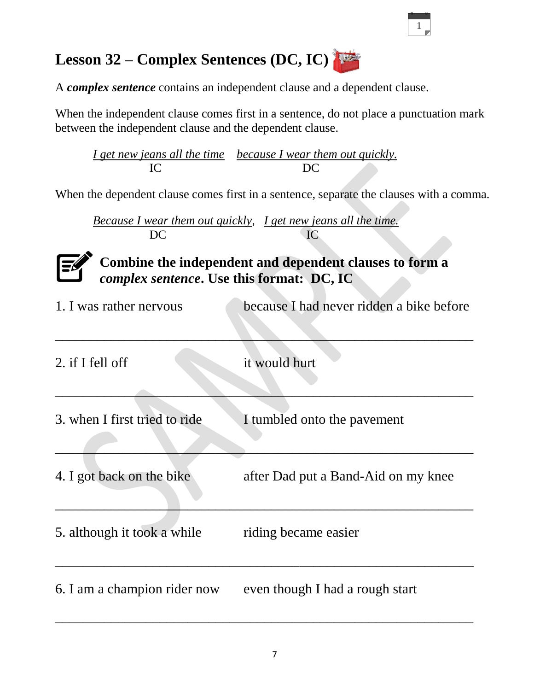# **Lesson 32 – Complex Sentences (DC, IC)**

A *complex sentence* contains an independent clause and a dependent clause.

When the independent clause comes first in a sentence, do not place a punctuation mark between the independent clause and the dependent clause.

*I get new jeans all the time because I wear them out quickly.* IC DC

When the dependent clause comes first in a sentence, separate the clauses with a comma.

*Because I wear them out quickly, I get new jeans all the time.* DC IC



**Combine the independent and dependent clauses to form a**  *complex sentence***. Use this format: DC, IC**

| 1. I was rather nervous       | because I had never ridden a bike before |
|-------------------------------|------------------------------------------|
| 2. if I fell off              | it would hurt                            |
| 3. when I first tried to ride | I tumbled onto the pavement              |
| 4. I got back on the bike     | after Dad put a Band-Aid on my knee      |
| 5. although it took a while   | riding became easier                     |
| 6. I am a champion rider now  | even though I had a rough start          |

 $\overline{\phantom{a}}$  , and the contract of the contract of the contract of the contract of the contract of the contract of the contract of the contract of the contract of the contract of the contract of the contract of the contrac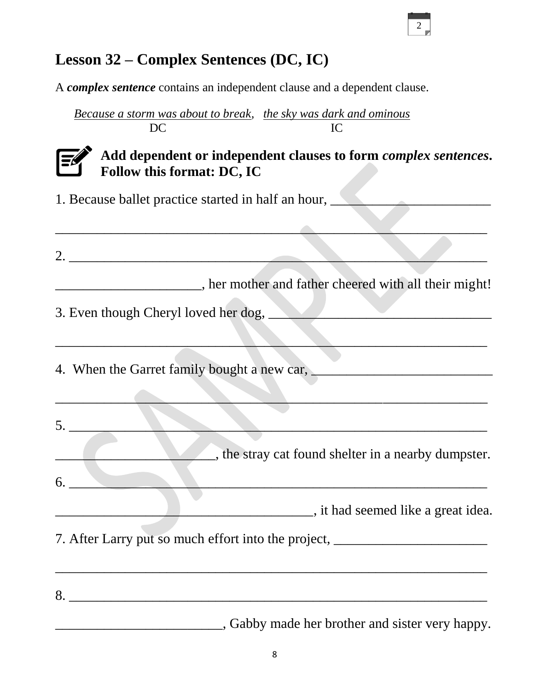# **Lesson 32 – Complex Sentences (DC, IC)**

A *complex sentence* contains an independent clause and a dependent clause.

*Because a storm was about to break, the sky was dark and ominous* DC IC



# **Add dependent or independent clauses to form** *complex sentences***. Follow this format: DC, IC**

1. Because ballet practice started in half an hour,

| her mother and father cheered with all their might! |  |  |
|-----------------------------------------------------|--|--|

\_\_\_\_\_\_\_\_\_\_\_\_\_\_\_\_\_\_\_\_\_\_\_\_\_\_\_\_\_\_\_\_\_\_\_\_\_\_\_\_\_\_\_\_\_\_\_\_\_\_\_\_\_\_\_\_\_\_\_\_\_\_

 $\overline{\phantom{a}}$  , and the contribution of the contribution of the contribution of the contribution of the contribution of the contribution of the contribution of the contribution of the contribution of the contribution of the

5. \_\_\_\_\_\_\_\_\_\_\_\_\_\_\_\_\_\_\_\_\_\_\_\_\_\_\_\_\_\_\_\_\_\_\_\_\_\_\_\_\_\_\_\_\_\_\_\_\_\_\_\_\_\_\_\_\_\_\_\_

\_\_\_\_\_\_\_\_\_\_\_\_\_\_\_\_\_\_\_\_\_\_\_\_\_\_\_\_\_\_\_\_\_\_\_\_\_\_\_\_\_\_\_\_\_\_\_\_\_\_\_\_\_\_\_\_\_\_\_\_\_\_

3. Even though Cheryl loved her dog,

4. When the Garret family bought a new car, \_\_\_\_\_\_\_\_\_\_\_\_\_\_\_\_\_\_\_\_\_\_\_\_\_\_

 $\Box$ , the stray cat found shelter in a nearby dumpster.

 $6.$   $\overline{\phantom{a}}$ 

\_\_\_\_\_\_\_\_\_\_\_\_\_\_\_\_\_\_\_\_\_\_\_\_\_\_\_\_\_\_\_\_\_\_\_\_\_, it had seemed like a great idea.

7. After Larry put so much effort into the project, \_\_\_\_\_\_\_\_\_\_\_\_\_\_\_\_\_\_\_\_\_\_\_\_\_\_\_\_

8. \_\_\_\_\_\_\_\_\_\_\_\_\_\_\_\_\_\_\_\_\_\_\_\_\_\_\_\_\_\_\_\_\_\_\_\_\_\_\_\_\_\_\_\_\_\_\_\_\_\_\_\_\_\_\_\_\_\_\_\_

\_\_\_\_\_\_\_\_\_\_\_\_\_\_\_\_\_\_\_\_\_\_\_\_\_\_\_\_\_\_\_\_\_\_\_\_\_\_\_\_\_\_\_\_\_\_\_\_\_\_\_\_\_\_\_\_\_\_\_\_\_\_

\_\_\_\_\_\_\_\_\_\_\_\_\_\_\_\_\_\_\_\_\_\_\_\_, Gabby made her brother and sister very happy.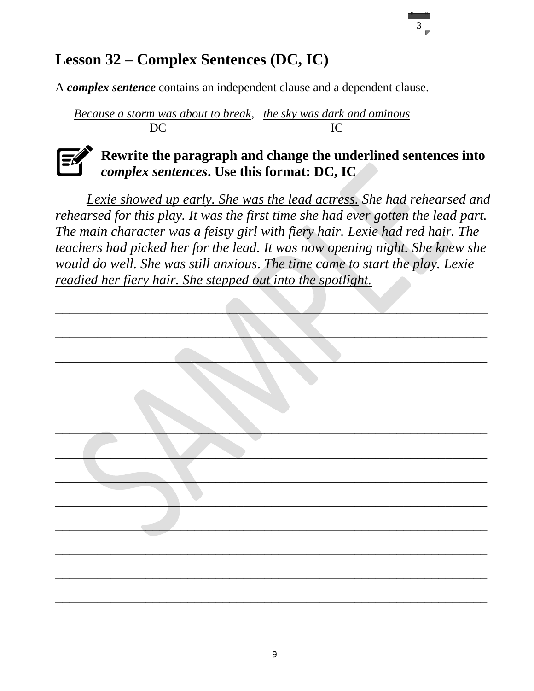# 3

# **Lesson 32 – Complex Sentences (DC, IC)**

A *complex sentence* contains an independent clause and a dependent clause.

*Because a storm was about to break, the sky was dark and ominous* DC IC



# **Rewrite the paragraph and change the underlined sentences into**  *complex sentences***. Use this format: DC, IC**

*Lexie showed up early. She was the lead actress. She had rehearsed and rehearsed for this play. It was the first time she had ever gotten the lead part. The main character was a feisty girl with fiery hair. Lexie had red hair. The teachers had picked her for the lead. It was now opening night. She knew she would do well. She was still anxious*. *The time came to start the play. Lexie readied her fiery hair. She stepped out into the spotlight.*

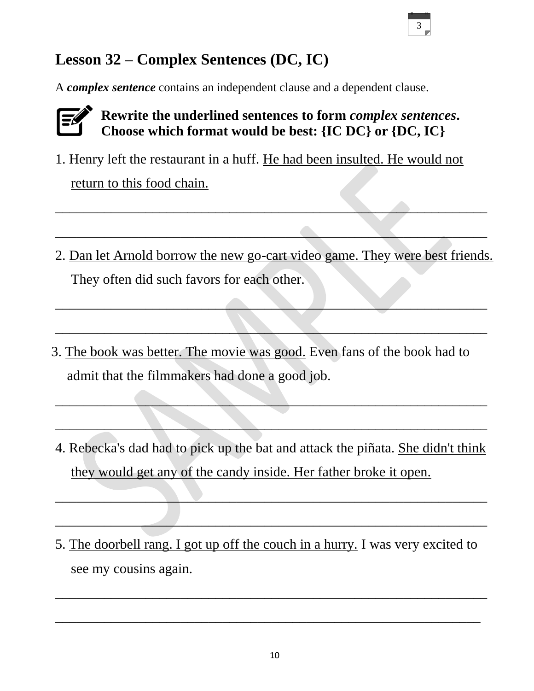# **Lesson 32 – Complex Sentences (DC, IC)**

A *complex sentence* contains an independent clause and a dependent clause.



# **Rewrite the underlined sentences to form** *complex sentences***.**  Choose which format would be best: {IC DC} or {DC, IC}

1. Henry left the restaurant in a huff. He had been insulted. He would not

return to this food chain.

2. Dan let Arnold borrow the new go-cart video game. They were best friends. They often did such favors for each other.

 $\overline{\phantom{a}}$  , and the contract of the contract of  $\overline{\phantom{a}}$  , and  $\overline{\phantom{a}}$  , and  $\overline{\phantom{a}}$  , and  $\overline{\phantom{a}}$  , and  $\overline{\phantom{a}}$  , and  $\overline{\phantom{a}}$  , and  $\overline{\phantom{a}}$  , and  $\overline{\phantom{a}}$  , and  $\overline{\phantom{a}}$  , and  $\overline{\phantom{a$ 

 $\Box$ 

\_\_\_\_\_\_\_\_\_\_\_\_\_\_\_\_\_\_\_\_\_\_\_\_\_\_\_\_\_\_\_\_\_\_\_\_\_\_\_\_\_\_\_\_\_\_\_\_\_\_\_\_\_\_\_\_\_\_\_\_\_\_

 $\_\_\_\_\_\_\_\_\_\_$ 

- 3. The book was better. The movie was good. Even fans of the book had to admit that the filmmakers had done a good job.
- 4. Rebecka's dad had to pick up the bat and attack the piñata. She didn't think they would get any of the candy inside. Her father broke it open.

\_\_\_\_\_\_\_\_\_\_\_\_\_\_\_\_\_\_\_\_\_\_\_\_\_\_\_\_\_\_\_\_\_\_\_\_\_\_\_\_\_\_\_\_\_\_\_\_\_\_\_\_\_\_\_\_\_\_\_\_\_\_

\_\_\_\_\_\_\_\_\_\_\_\_\_\_\_\_\_\_\_\_\_\_\_\_\_\_\_\_\_\_\_\_\_\_\_\_\_\_\_\_\_\_\_\_\_\_\_\_\_\_\_\_\_\_\_\_\_\_\_\_\_\_

\_\_\_\_\_\_\_\_\_\_\_\_\_\_\_\_\_\_\_\_\_\_\_\_\_\_\_\_\_\_\_\_\_\_\_\_\_\_\_\_\_\_\_\_\_\_\_\_\_\_\_\_\_\_\_\_\_\_\_\_\_\_

\_\_\_\_\_\_\_\_\_\_\_\_\_\_\_\_\_\_\_\_\_\_\_\_\_\_\_\_\_\_\_\_\_\_\_\_\_\_\_\_\_\_\_\_\_\_\_\_\_\_\_\_\_\_\_\_\_\_\_\_\_\_

5. The doorbell rang. I got up off the couch in a hurry. I was very excited to see my cousins again.

\_\_\_\_\_\_\_\_\_\_\_\_\_\_\_\_\_\_\_\_\_\_\_\_\_\_\_\_\_\_\_\_\_\_\_\_\_\_\_\_\_\_\_\_\_\_\_\_\_\_\_\_\_\_\_\_\_\_\_\_\_\_

 $\overline{\phantom{a}}$  , and the contract of the contract of the contract of the contract of the contract of the contract of the contract of the contract of the contract of the contract of the contract of the contract of the contrac